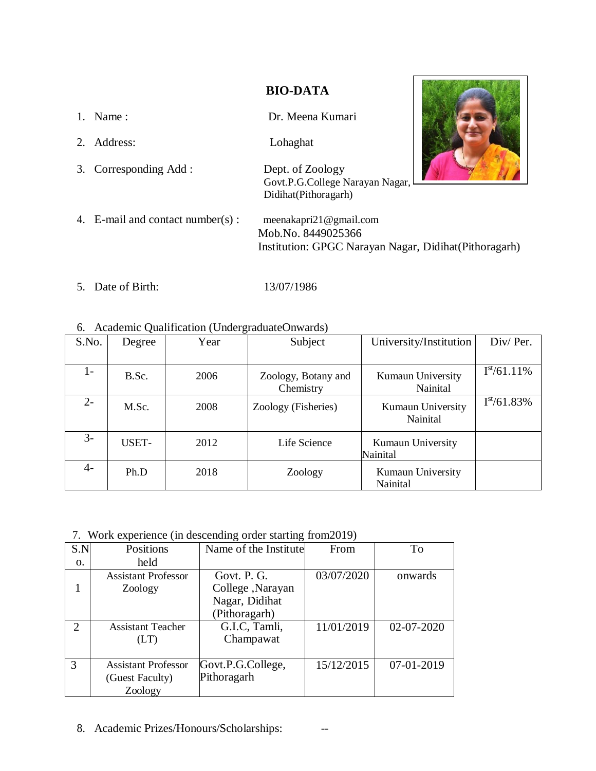## **BIO-DATA**

- 1. Name : Dr. Meena Kumari 2. Address: Lohaghat 3. Corresponding Add : Dept. of Zoology Govt.P.G.College Narayan Nagar, Didihat(Pithoragarh) 4. E-mail and contact number(s) : [meenakapri21@gmail.com](mailto:kalakotishekhar8@gmail.com) Mob.No. 8449025366 Institution: GPGC Narayan Nagar, Didihat(Pithoragarh)
- 5. Date of Birth: 13/07/1986

## 6. Academic Qualification (UndergraduateOnwards)

| S.No. | Degree | Year | Subject                          | University/Institution        | Div/Per.         |
|-------|--------|------|----------------------------------|-------------------------------|------------------|
|       |        |      |                                  |                               |                  |
| I-    | B.Sc.  | 2006 | Zoology, Botany and<br>Chemistry | Kumaun University<br>Nainital | $I^{st}/61.11\%$ |
| $2 -$ | M.Sc.  | 2008 | Zoology (Fisheries)              | Kumaun University<br>Nainital | $I^{st}/61.83\%$ |
| $3-$  | USET-  | 2012 | Life Science                     | Kumaun University<br>Nainital |                  |
| $4-$  | Ph.D   | 2018 | Zoology                          | Kumaun University<br>Nainital |                  |

7. Work experience (in descending order starting from2019)

| Positions                  | Name of the Institute | From                             | To         |
|----------------------------|-----------------------|----------------------------------|------------|
| held                       |                       |                                  |            |
| <b>Assistant Professor</b> | Govt. P. G.           | 03/07/2020                       | onwards    |
| Zoology                    | College, Narayan      |                                  |            |
|                            | Nagar, Didihat        |                                  |            |
|                            | (Pithoragarh)         |                                  |            |
| <b>Assistant Teacher</b>   | G.I.C, Tamli,         | 11/01/2019                       | 02-07-2020 |
| (LT)                       | Champawat             |                                  |            |
|                            |                       |                                  |            |
| <b>Assistant Professor</b> |                       | 15/12/2015                       | 07-01-2019 |
| (Guest Faculty)            |                       |                                  |            |
| Zoology                    |                       |                                  |            |
|                            |                       | Govt.P.G.College,<br>Pithoragarh |            |

8. Academic Prizes/Honours/Scholarships: